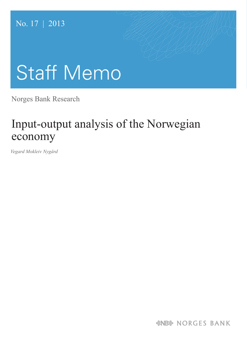# No. 17 | 2013

# Staff Memo

Norges Bank Research

# Input-output analysis of the Norwegian economy

*Vegard Mokleiv Nygård*

*&NB& NORGES BANK*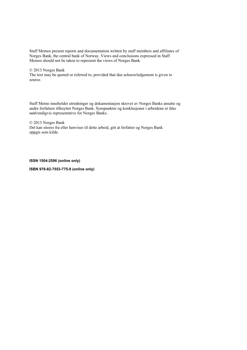Staff Memos present reports and documentation written by staff members and affiliates of Norges Bank, the central bank of Norway. Views and conclusions expressed in Staff Memos should not be taken to represent the views of Norges Bank.

#### © 2013 Norges Bank

The text may be quoted or referred to, provided that due acknowledgement is given to source.

Staff Memo inneholder utredninger og dokumentasjon skrevet av Norges Banks ansatte og andre forfattere tilknyttet Norges Bank. Synspunkter og konklusjoner i arbeidene er ikke nødvendigvis representative for Norges Banks.

© 2013 Norges Bank Det kan siteres fra eller henvises til dette arbeid, gitt at forfatter og Norges Bank oppgis som kilde.

#### **ISSN 1504-2596 (online only)**

**ISBN 978-82-7553-775-9 (online only)**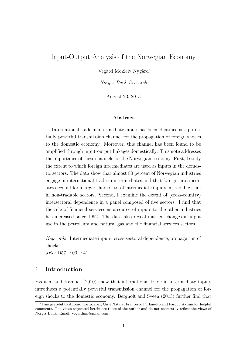# Input-Output Analysis of the Norwegian Economy

Vegard Mokleiv Nygård<sup>\*</sup>

Norges Bank Research

August 23, 2013

#### Abstract

International trade in intermediate inputs has been identified as a potentially powerful transmission channel for the propagation of foreign shocks to the domestic economy. Moreover, this channel has been found to be amplified through input-output linkages domestically. This note addresses the importance of these channels for the Norwegian economy. First, I study the extent to which foreign intermediates are used as inputs in the domestic sectors. The data show that almost 80 percent of Norwegian industries engage in international trade in intermediates and that foreign intermediates account for a larger share of total intermediate inputs in tradable than in non-tradable sectors. Second, I examine the extent of (cross-country) intersectoral dependence in a panel composed of five sectors. I find that the role of financial services as a source of inputs to the other industries has increased since 1992. The data also reveal marked changes in input use in the petroleum and natural gas and the financial services sectors.

Keywords: Intermediate inputs, cross-sectoral dependence, propagation of shocks.

JEL: D57, E00, F41.

# 1 Introduction

Eyquem and Kamber (2010) show that international trade in intermediate inputs introduces a potentially powerful transmission channel for the propagation of foreign shocks to the domestic economy. Bergholt and Sveen (2013) further find that

<sup>∗</sup>I am grateful to Alfonso Irarrazabal, Gisle Natvik, Francesco Furlanetto and Farooq Akram for helpful comments. The views expressed herein are those of the author and do not necessarily reflect the views of Norges Bank. Email: vegardmn@gmail.com.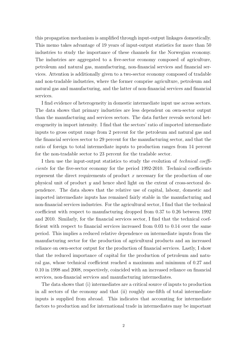this propagation mechanism is amplified through input-output linkages domestically. This memo takes advantage of 19 years of input-output statistics for more than 50 industries to study the importance of these channels for the Norwegian economy. The industries are aggregated to a five-sector economy composed of agriculture, petroleum and natural gas, manufacturing, non-financial services and financial services. Attention is additionally given to a two-sector economy composed of tradable and non-tradable industries, where the former comprise agriculture, petroleum and natural gas and manufacturing, and the latter of non-financial services and financial services.

I find evidence of heterogeneity in domestic intermediate input use across sectors. The data shows that primary industries are less dependent on own-sector output than the manufacturing and services sectors. The data further reveals sectoral heterogeneity in import intensity. I find that the sectors' ratio of imported intermediate inputs to gross output range from 2 percent for the petroleum and natural gas and the financial services sector to 29 percent for the manufacturing sector, and that the ratio of foreign to total intermediate inputs to production ranges from 14 percent for the non-tradable sector to 23 percent for the tradable sector.

I then use the input-output statistics to study the evolution of technical coefficients for the five-sector economy for the period 1992-2010. Technical coefficients represent the direct requirements of product  $x$  necessary for the production of one physical unit of product y and hence shed light on the extent of cross-sectoral dependence. The data shows that the relative use of capital, labour, domestic and imported intermediate inputs has remained fairly stable in the manufacturing and non-financial services industries. For the agricultural sector, I find that the technical coefficient with respect to manufacturing dropped from 0.37 to 0.26 between 1992 and 2010. Similarly, for the financial services sector, I find that the technical coefficient with respect to financial services increased from 0.03 to 0.14 over the same period. This implies a reduced relative dependence on intermediate inputs from the manufacturing sector for the production of agricultural products and an increased reliance on own-sector output for the production of financial services. Lastly, I show that the reduced importance of capital for the production of petroleum and natural gas, whose technical coefficient reached a maximum and minimum of 0.27 and 0.10 in 1998 and 2008, respectively, coincided with an increased reliance on financial services, non-financial services and manufacturing intermediates.

The data shows that (i) intermediates are a critical source of inputs to production in all sectors of the economy and that (ii) roughly one-fifth of total intermediate inputs is supplied from abroad. This indicates that accounting for intermediate factors to production and for international trade in intermediates may be important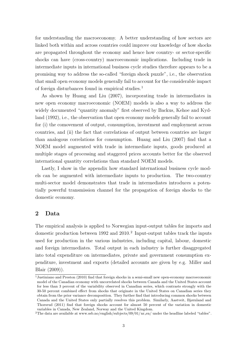for understanding the macroeconomy. A better understanding of how sectors are linked both within and across countries could improve our knowledge of how shocks are propagated throughout the economy and hence how country- or sector-specific shocks can have (cross-country) macroeconomic implications. Including trade in intermediate inputs in international business cycle studies therefore appears to be a promising way to address the so-called "foreign shock puzzle", i.e., the observation that small open economy models generally fail to account for the considerable impact of foreign disturbances found in empirical studies.<sup>1</sup>

As shown by Huang and Liu (2007), incorporating trade in intermediates in new open economy macroeconomic (NOEM) models is also a way to address the widely documented "quantity anomaly" first observed by Backus, Kehoe and Kydland  $(1992)$ , i.e., the observation that open economy models generally fail to account for (i) the comovement of output, consumption, investment and employment across countries, and (ii) the fact that correlations of output between countries are larger than analogous correlations for consumption. Huang and Liu (2007) find that a NOEM model augmented with trade in intermediate inputs, goods produced at multiple stages of processing and staggered prices accounts better for the observed international quantity correlations than standard NOEM models.

Lastly, I show in the appendix how standard international business cycle models can be augmented with intermediate inputs to production. The two-country multi-sector model demonstrates that trade in intermediates introduces a potentially powerful transmission channel for the propagation of foreign shocks to the domestic economy.

### 2 Data

The empirical analysis is applied to Norwegian input-output tables for imports and domestic production between 1992 and  $2010<sup>2</sup>$  Input-output tables track the inputs used for production in the various industries, including capital, labour, domestic and foreign intermediates. Total output in each industry is further disaggregated into total expenditure on intermediates, private and government consumption expenditure, investment and exports (detailed accounts are given by e.g. Miller and Blair (2009)).

<sup>1</sup>Justiniano and Preston (2010) find that foreign shocks in a semi-small new open-economy macroeconomic model of the Canadian economy with uncorrelated shocks between Canada and the United States account for less than 3 percent of the variability observed in Canadian series, which contrasts strongly with the 30-50 percent combined effect from shocks that originate in the United States on Canadian series they obtain from the prior variance decomposition. They further find that introducing common shocks between Canada and the United States only partially resolves this problem. Similarly, Aastveit, Bjørnland and Thorsrud (2011) find that foreign shocks account for almost 50 percent of the variation in domestic variables in Canada, New Zealand, Norway and the United Kingdom.

<sup>&</sup>lt;sup>2</sup>The data are available at www.ssb.no/english/subjects/09/01/nr\_en/ under the headline labeled "tables".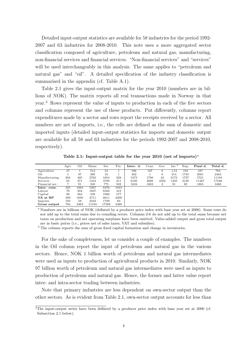Detailed input-output statistics are available for 58 industries for the period 1992- 2007 and 63 industries for 2008-2010. This note uses a more aggregated sector classification composed of agriculture, petroleum and natural gas, manufacturing, non-financial services and financial services. "Non-financial services" and "services" will be used interchangeably in this analysis. The same applies to "petroleum and natural gas" and "oil". A detailed specification of the industry classification is summarised in the appendix (cf. Table A.1).

Table 2.1 gives the input-output matrix for the year 2010 (numbers are in billions of NOK). The matrix reports all real transactions made in Norway in that year.<sup>3</sup> Rows represent the value of inputs to production in each of the five sectors and columns represent the use of these products. Put differently, columns report expenditures made by a sector and rows report the receipts received by a sector. All numbers are net of imports, i.e., the cells are defined as the sum of domestic and imported inputs (detailed input-output statistics for imports and domestic output are available for all 58 and 63 industries for the periods 1992-2007 and 2008-2010, respectively).

|                | Agri. | Oil  | Manu. | Ser.  | Fin. | Inter. d. | Cons. | Gov.     | Inv.   | Exp. | Final d. | Total d. |
|----------------|-------|------|-------|-------|------|-----------|-------|----------|--------|------|----------|----------|
| Agriculture    | 47    |      | 514   | 34    |      | 596       | 107   |          | $-113$ | 193  | 187      | 784      |
| Oil            |       | 97   | 288   | 16    |      | 402       |       | $\Omega$ | 314    | 1745 | 2061     | 2463     |
| Manufacturing  | 204   | 405  | 2782  | 1854  | 228  | 5473      | 1780  | 42       | 2172   | 1727 | 5721     | 11194    |
| Services       | 65    | 471  | 1454  | 3798  | 311  | 6100      | 3606  | 4502     | 1250   | 2129 | 11487    | 17588    |
| Financial ser. | 7     | 91   | 249   | 775   | 502  | 1624      | 1683  | 2        | 91     | 89   | 1865     | 3488     |
| Inter. cons.   | 325   | 1064 | 5287  | 6476  | 1043 |           |       |          |        |      |          |          |
| Labour         | 70    | 204  | 1607  | 6560  | 418  |           |       |          |        |      |          |          |
| Capital        | 96    | 364  | 339   | 1080  | 577  |           |       |          |        |      |          |          |
| VA at BP       | 309   | 1850 | 2711  | 8611  | 2200 |           |       |          |        |      |          |          |
| Imports        | 103   | 58   | 3232  | 1799  | 83   |           |       |          |        |      |          |          |
| Gross output   | 784   | 2463 | 11194 | 17588 | 3488 |           |       |          |        |      |          |          |

Table 2.1: Input-output table for the year 2010 (net of imports)<sup>a</sup>

<sup>a</sup> Numbers are in billions of NOK (deflated by a producer price index with base year set at 2000). Some rows do not add up to the total sums due to rounding errors. Columns 2-6 do not add up to the total sums because net taxes on production and net operating surpluses have been omitted. Value-added output and gross total output are in basic prices (i.e., prices net of sales taxes, VAT and subsidies).

<sup>b</sup> The column reports the sum of gross fixed capital formation and change in inventories.

For the sake of completeness, let us consider a couple of examples. The numbers in the Oil column report the input of petroleum and natural gas in the various sectors. Hence, NOK 1 billion worth of petroleum and natural gas intermediates were used as inputs to production of agricultural products in 2010. Similarly, NOK 97 billion worth of petroleum and natural gas intermediates were used as inputs to production of petroleum and natural gas. Hence, the former and latter value report inter- and intra-sector trading between industries.

Note that primary industries are less dependent on own-sector output than the other sectors. As is evident from Table 2.1, own-sector output accounts for less than

<sup>&</sup>lt;sup>3</sup>The input-output series have been deflated by a producer price index with base year set at 2000 (cf. Subsection 2.1 below).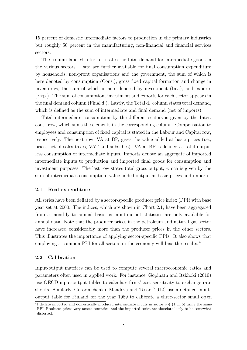15 percent of domestic intermediate factors to production in the primary industries but roughly 50 percent in the manufacturing, non-financial and financial services sectors.

The column labeled Inter. d. states the total demand for intermediate goods in the various sectors. Data are further available for final consumption expenditure by households, non-profit organisations and the government, the sum of which is here denoted by consumption (Cons.), gross fixed capital formation and change in inventories, the sum of which is here denoted by investment (Inv.), and exports (Exp.). The sum of consumption, investment and exports for each sector appears in the final demand column (Final d.). Lastly, the Total d. column states total demand, which is defined as the sum of intermediate and final demand (net of imports).

Total intermediate consumption by the different sectors is given by the Inter. cons. row, which sums the elements in the corresponding column. Compensation to employees and consumption of fixed capital is stated in the Labour and Capital row, respectively. The next row, VA at BP, gives the value-added at basic prices (i.e., prices net of sales taxes, VAT and subsidies). VA at BP is defined as total output less consumption of intermediate inputs. Imports denote an aggregate of imported intermediate inputs to production and imported final goods for consumption and investment purposes. The last row states total gross output, which is given by the sum of intermediate consumption, value-added output at basic prices and imports.

#### 2.1 Real expenditure

All series have been deflated by a sector-specific producer price index (PPI) with base year set at 2000. The indices, which are shown in Chart 2.1, have been aggregated from a monthly to annual basis as input-output statistics are only available for annual data. Note that the producer prices in the petroleum and natural gas sector have increased considerably more than the producer prices in the other sectors. This illustrates the importance of applying sector-specific PPIs. It also shows that employing a common PPI for all sectors in the economy will bias the results.<sup>4</sup>

#### 2.2 Calibration

Input-output matrices can be used to compute several macroeconomic ratios and parameters often used in applied work. For instance, Gopinath and Itskhoki (2010) use OECD input-output tables to calculate firms' cost sensitivity to exchange rate shocks. Similarly, Gorodnichenko, Mendoza and Tesar (2012) use a detailed inputoutput table for Finland for the year 1989 to calibrate a three-sector small op en

<sup>&</sup>lt;sup>4</sup>I deflate imported and domestically produced intermediate inputs in sector  $s \in (1, ..., 5)$  using the same PPI. Producer prices vary across countries, and the imported series are therefore likely to be somewhat distorted.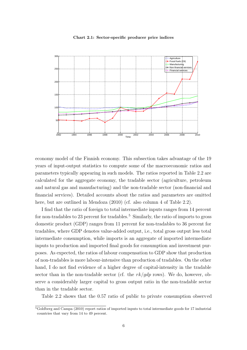#### Chart 2.1: Sector-specific producer price indices



economy model of the Finnish economy. This subsection takes advantage of the 19 years of input-output statistics to compute some of the macroeconomic ratios and parameters typically appearing in such models. The ratios reported in Table 2.2 are calculated for the aggregate economy, the tradable sector (agriculture, petroleum and natural gas and manufacturing) and the non-tradable sector (non-financial and financial services). Detailed accounts about the ratios and parameters are omitted here, but are outlined in Mendoza  $(2010)$  (cf. also column 4 of Table 2.2).

I find that the ratio of foreign to total intermediate inputs ranges from 14 percent for non-tradables to 23 percent for tradables.<sup>5</sup> Similarly, the ratio of imports to gross domestic product (GDP) ranges from 11 percent for non-tradables to 36 percent for tradables, where GDP denotes value-added output, i.e., total gross output less total intermediate consumption, while imports is an aggregate of imported intermediate inputs to production and imported final goods for consumption and investment purposes. As expected, the ratios of labour compensation to GDP show that production of non-tradables is more labour-intensive than production of tradables. On the other hand, I do not find evidence of a higher degree of capital-intensity in the tradable sector than in the non-tradable sector (cf. the  $rk/gdp$  rows). We do, however, observe a considerably larger capital to gross output ratio in the non-tradable sector than in the tradable sector.

Table 2.2 shows that the 0.57 ratio of public to private consumption observed

<sup>5</sup>Goldberg and Campa (2010) report ratios of imported inputs to total intermediate goods for 17 industrial countries that vary from 14 to 49 percent.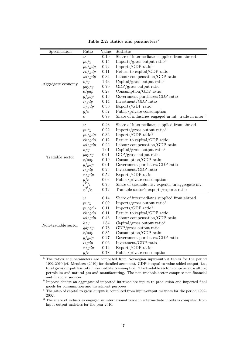| Specification       | Ratio                                                                   | Value                         | Statistic                                                        |  |  |  |
|---------------------|-------------------------------------------------------------------------|-------------------------------|------------------------------------------------------------------|--|--|--|
|                     | $\omega$                                                                | $0.19\,$                      | Share of intermediates supplied from abroad                      |  |  |  |
|                     | pv/y                                                                    | $0.15\,$                      | Imports/gross output ratiob                                      |  |  |  |
|                     | pv/gdp                                                                  | $0.22\,$                      | Imports/GDP ratio <sup>b</sup>                                   |  |  |  |
|                     | rk/gdp                                                                  | $0.11\,$                      | Return to capital/GDP ratio                                      |  |  |  |
|                     | wl/gdp                                                                  | 0.34                          | Labour compensation/GDP ratio                                    |  |  |  |
| Aggregate economy   | k/y                                                                     | 1.43                          | Capital/gross output ratio <sup>c</sup>                          |  |  |  |
|                     | gdp/y                                                                   | $0.70\,$                      | $GDP/gross$ output ratio                                         |  |  |  |
|                     | c/gdp                                                                   | $0.28\,$                      | Consumption/GDP ratio                                            |  |  |  |
|                     | g/gdp                                                                   | $0.16\,$                      | Government purchases/GDP ratio                                   |  |  |  |
|                     | i/gdp                                                                   | 0.14                          | Investment/GDP ratio                                             |  |  |  |
|                     | x/gdp                                                                   | $0.30\,$<br>Exports/GDP ratio |                                                                  |  |  |  |
|                     | g/c                                                                     | $0.57\,$                      | Public/private consumption                                       |  |  |  |
|                     | $\kappa$                                                                | 0.79                          | Share of industries engaged in int. trade in inter. <sup>d</sup> |  |  |  |
|                     | $\omega$                                                                | 0.23                          | Share of intermediates supplied from abroad                      |  |  |  |
|                     | pv/y                                                                    | $0.22\,$                      | Imports/gross output ratio <sup>b</sup>                          |  |  |  |
|                     | pv/gdp                                                                  | $0.36\,$                      | Imports/GDP ratio <sup>b</sup>                                   |  |  |  |
|                     | rk/gdp                                                                  | $0.12\,$                      | Return to capital/GDP ratio                                      |  |  |  |
|                     | $0.22\,$<br>Labour compensation/GDP ratio<br>wl/gdp                     |                               |                                                                  |  |  |  |
|                     | $1.01\,$<br>Capital/gross output ratio <sup><math>c</math></sup><br>k/y |                               |                                                                  |  |  |  |
|                     | gdp/y                                                                   | 0.61                          | $GDP/gross$ output ratio                                         |  |  |  |
| Tradable sector     | c/gdp                                                                   | 0.19                          | Consumption/GDP ratio                                            |  |  |  |
|                     | g/gdp                                                                   | $0.01\,$                      | Government purchases/GDP ratio                                   |  |  |  |
|                     | i/gdp                                                                   | $0.26\,$                      | Investment/GDP ratio                                             |  |  |  |
|                     | x/gdp                                                                   | $0.52\,$                      | Exports/GDP ratio                                                |  |  |  |
|                     | g/c                                                                     | $0.03\,$                      | Public/private consumption                                       |  |  |  |
|                     | $i^T/i$                                                                 | $0.76\,$                      | Share of tradable inv. expend. in aggregate inv.                 |  |  |  |
|                     | $\boldsymbol{x}^T/\boldsymbol{x}$                                       | 0.72                          | Tradable sector's exports/exports ratio                          |  |  |  |
|                     | $\omega$                                                                | 0.14                          | Share of intermediates supplied from abroad                      |  |  |  |
|                     | pv/y                                                                    | $0.09\,$                      | Imports/gross output ratiob                                      |  |  |  |
|                     | pv/gdp                                                                  | 0.11                          | Imports/GDP ratio <sup>b</sup>                                   |  |  |  |
|                     | rk/gdp                                                                  | $0.11\,$                      | Return to capital/GDP ratio                                      |  |  |  |
|                     | wl/gdp                                                                  | 0.43                          | Labour compensation/GDP ratio                                    |  |  |  |
|                     | k/y                                                                     | 1.84                          | Capital/gross output ratio <sup>c</sup>                          |  |  |  |
| Non-tradable sector | gdp/y                                                                   | 0.78                          | GDP/gross output ratio                                           |  |  |  |
|                     | c/gdp                                                                   | $0.35\,$                      | Consumption/GDP ratio                                            |  |  |  |
|                     | g/gdp                                                                   | $0.27\,$                      | Government purchases/GDP ratio                                   |  |  |  |
|                     | i/gdp                                                                   | $0.06\,$                      | Investment/GDP ratio                                             |  |  |  |
|                     | x/gdp                                                                   | $0.14\,$                      | Exports/GDP ratio                                                |  |  |  |
|                     | g/c                                                                     | 0.78                          | Public/private consumption                                       |  |  |  |

Table 2.2: Ratios and parameters<sup>a</sup>

<sup>a</sup> The ratios and parameters are computed from Norwegian input-output tables for the period 1992-2010 (cf. Mendoza (2010) for detailed accounts). GDP is equal to value-added output, i.e., total gross output less total intermediate consumption. The tradable sector comprise agriculture, petroleum and natural gas and manufacturing. The non-tradable sector comprise non-financial and financial services.

c The ratio of capital to gross output is computed from input-output matrices for the period 1992-2002.

<sup>d</sup> The share of industries engaged in international trade in intermediate inputs is computed from input-output matrices for the year 2010.

b Imports denote an aggregate of imported intermediate inputs to production and imported final goods for consumption and investment purposes.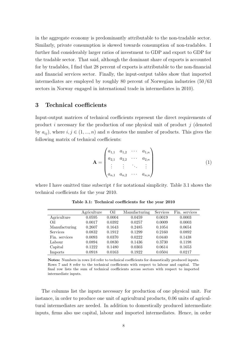in the aggregate economy is predominantly attributable to the non-tradable sector. Similarly, private consumption is skewed towards consumption of non-tradables. I further find considerably larger ratios of investment to GDP and export to GDP for the tradable sector. That said, although the dominant share of exports is accounted for by tradables, I find that 28 percent of exports is attributable to the non-financial and financial services sector. Finally, the input-output tables show that imported intermediates are employed by roughly 80 percent of Norwegian industries (50/63 sectors in Norway engaged in international trade in intermediates in 2010).

# 3 Technical coefficients

Input-output matrices of technical coefficients represent the direct requirements of product i necessary for the production of one physical unit of product  $j$  (denoted by  $a_{ij}$ , where  $i, j \in (1, ..., n)$  and n denotes the number of products. This gives the following matrix of technical coefficients:

$$
\mathbf{A} = \begin{pmatrix} a_{1,1} & a_{1,2} & \cdots & a_{1,n} \\ a_{2,1} & a_{2,2} & \cdots & a_{2,n} \\ \vdots & \vdots & \ddots & \vdots \\ a_{n,1} & a_{n,2} & \cdots & a_{n,n} \end{pmatrix}
$$
 (1)

where I have omitted time subscript  $t$  for notational simplicity. Table 3.1 shows the technical coefficients for the year 2010.

|                 | Agriculture | Oil    | Manufacturing | <b>Services</b> | Fin. services |
|-----------------|-------------|--------|---------------|-----------------|---------------|
| Agriculture     | 0.0595      | 0.0004 | 0.0459        | 0.0019          | 0.0003        |
| Oil             | 0.0017      | 0.0392 | 0.0257        | 0.0009          | 0.0003        |
| Manufacturing   | 0.2607      | 0.1643 | 0.2485        | 0.1054          | 0.0654        |
| <b>Services</b> | 0.0832      | 0.1912 | 0.1299        | 0.2160          | 0.0892        |
| Fin. services   | 0.0093      | 0.0370 | 0.0222        | 0.0440          | 0.1438        |
| Labour          | 0.0894      | 0.0830 | 0.1436        | 0.3730          | 0.1198        |
| Capital         | 0.1222      | 0.1480 | 0.0303        | 0.0614          | 0.1653        |
| Imports         | 0.0918      | 0.0163 | 0.1922        | 0.0504          | 0.0217        |

Table 3.1: Technical coefficients for the year 2010

Notes: Numbers in rows 2-6 refer to technical coefficients for domestically produced inputs. Rows 7 and 8 refer to the technical coefficients with respect to labour and capital. The final row lists the sum of technical coefficients across sectors with respect to imported intermediate inputs.

The columns list the inputs necessary for production of one physical unit. For instance, in order to produce one unit of agricultural products, 0.06 units of agricultural intermediates are needed. In addition to domestically produced intermediate inputs, firms also use capital, labour and imported intermediates. Hence, in order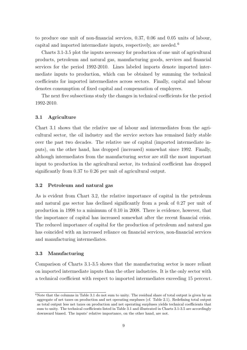to produce one unit of non-financial services, 0.37, 0.06 and 0.05 units of labour, capital and imported intermediate inputs, respectively, are needed. <sup>6</sup>

Charts 3.1-3.5 plot the inputs necessary for production of one unit of agricultural products, petroleum and natural gas, manufacturing goods, services and financial services for the period 1992-2010. Lines labeled imports denote imported intermediate inputs to production, which can be obtained by summing the technical coefficients for imported intermediates across sectors. Finally, capital and labour denotes consumption of fixed capital and compensation of employees.

The next five subsections study the changes in technical coefficients for the period 1992-2010.

#### 3.1 Agriculture

Chart 3.1 shows that the relative use of labour and intermediates from the agricultural sector, the oil industry and the service sectors has remained fairly stable over the past two decades. The relative use of capital (imported intermediate inputs), on the other hand, has dropped (increased) somewhat since 1992. Finally, although intermediates from the manufacturing sector are still the most important input to production in the agricultural sector, its technical coefficient has dropped significantly from 0.37 to 0.26 per unit of agricultural output.

#### 3.2 Petroleum and natural gas

As is evident from Chart 3.2, the relative importance of capital in the petroleum and natural gas sector has declined significantly from a peak of 0.27 per unit of production in 1998 to a minimum of 0.10 in 2008. There is evidence, however, that the importance of capital has increased somewhat after the recent financial crisis. The reduced importance of capital for the production of petroleum and natural gas has coincided with an increased reliance on financial services, non-financial services and manufacturing intermediates.

#### 3.3 Manufacturing

Comparison of Charts 3.1-3.5 shows that the manufacturing sector is more reliant on imported intermediate inputs than the other industries. It is the only sector with a technical coefficient with respect to imported intermediates exceeding 15 percent.

 $6N$ ote that the columns in Table 3.1 do not sum to unity. The residual share of total output is given by an aggregate of net taxes on production and net operating surpluses (cf. Table 2.1). Redefining total output as total output less net taxes on production and net operating surpluses yields technical coefficients that sum to unity. The technical coefficients listed in Table 3.1 and illustrated in Charts 3.1-3.5 are accordingly downward biased. The inputs' relative importance, on the other hand, are not.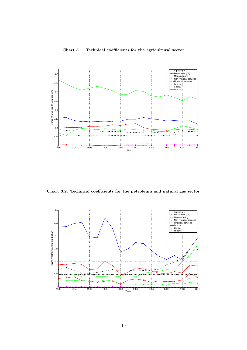



Chart 3.2: Technical coefficients for the petroleum and natural gas sector

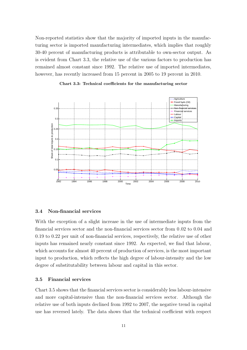Non-reported statistics show that the majority of imported inputs in the manufacturing sector is imported manufacturing intermediates, which implies that roughly 30-40 percent of manufacturing products is attributable to own-sector output. As is evident from Chart 3.3, the relative use of the various factors to production has remained almost constant since 1992. The relative use of imported intermediates, however, has recently increased from 15 percent in 2005 to 19 percent in 2010.





#### 3.4 Non-financial services

With the exception of a slight increase in the use of intermediate inputs from the financial services sector and the non-financial services sector from 0.02 to 0.04 and 0.19 to 0.22 per unit of non-financial services, respectively, the relative use of other inputs has remained nearly constant since 1992. As expected, we find that labour, which accounts for almost 40 percent of production of services, is the most important input to production, which reflects the high degree of labour-intensity and the low degree of substitutability between labour and capital in this sector.

#### 3.5 Financial services

Chart 3.5 shows that the financial services sector is considerably less labour-intensive and more capital-intensive than the non-financial services sector. Although the relative use of both inputs declined from 1992 to 2007, the negative trend in capital use has reversed lately. The data shows that the technical coefficient with respect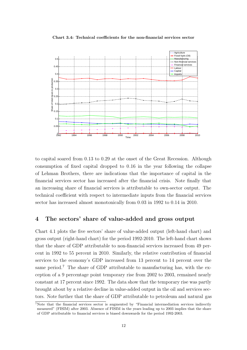Chart 3.4: Technical coefficients for the non-financial services sector



to capital soared from 0.13 to 0.29 at the onset of the Great Recession. Although consumption of fixed capital dropped to 0.16 in the year following the collapse of Lehman Brothers, there are indications that the importance of capital in the financial services sector has increased after the financial crisis. Note finally that an increasing share of financial services is attributable to own-sector output. The technical coefficient with respect to intermediate inputs from the financial services sector has increased almost monotonically from 0.03 in 1992 to 0.14 in 2010.

#### 4 The sectors' share of value-added and gross output

Chart 4.1 plots the five sectors' share of value-added output (left-hand chart) and gross output (right-hand chart) for the period 1992-2010. The left-hand chart shows that the share of GDP attributable to non-financial services increased from 49 percent in 1992 to 55 percent in 2010. Similarly, the relative contribution of financial services to the economy's GDP increased from 13 percent to 14 percent over the same period.<sup>7</sup> The share of GDP attributable to manufacturing has, with the exception of a 9 percentage point temporary rise from 2002 to 2003, remained nearly constant at 17 percent since 1992. The data show that the temporary rise was partly brought about by a relative decline in value-added output in the oil and services sectors. Note further that the share of GDP attributable to petroleum and natural gas

<sup>7</sup>Note that the financial services sector is augmented by "Financial intermediation services indirectly measured" (FISIM) after 2003. Absence of FISIM in the years leading up to 2003 implies that the share of GDP attributable to financial services is biased downwards for the period 1992-2003.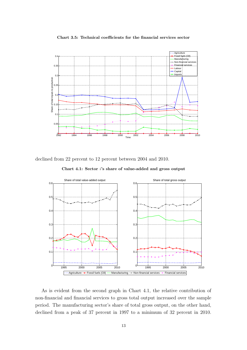



declined from 22 percent to 12 percent between 2004 and 2010.

Chart 4.1: Sector i's share of value-added and gross output



As is evident from the second graph in Chart 4.1, the relative contribution of non-financial and financial services to gross total output increased over the sample period. The manufacturing sector's share of total gross output, on the other hand, declined from a peak of 37 percent in 1997 to a minimum of 32 percent in 2010.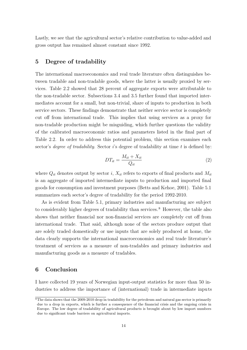Lastly, we see that the agricultural sector's relative contribution to value-added and gross output has remained almost constant since 1992.

## 5 Degree of tradability

The international macroeconomics and real trade literature often distinguishes between tradable and non-tradable goods, where the latter is usually proxied by services. Table 2.2 showed that 28 percent of aggregate exports were attributable to the non-tradable sector. Subsections 3.4 and 3.5 further found that imported intermediates account for a small, but non-trivial, share of inputs to production in both service sectors. These findings demonstrate that neither service sector is completely cut off from international trade. This implies that using services as a proxy for non-tradable production might be misguiding, which further questions the validity of the calibrated macroeconomic ratios and parameters listed in the final part of Table 2.2. In order to address this potential problem, this section examines each sector's *degree of tradability*. Sector i's degree of tradability at time t is defined by:

$$
DT_{it} = \frac{M_{it} + X_{it}}{Q_{it}}\tag{2}
$$

where  $Q_{it}$  denotes output by sector i,  $X_{it}$  refers to exports of final products and  $M_{it}$ is an aggregate of imported intermediate inputs to production and imported final goods for consumption and investment purposes (Betts and Kehoe, 2001). Table 5.1 summarizes each sector's degree of tradability for the period 1992-2010.

As is evident from Table 5.1, primary industries and manufacturing are subject to considerably higher degrees of tradability than services.<sup>8</sup> However, the table also shows that neither financial nor non-financial services are completely cut off from international trade. That said, although none of the sectors produce output that are solely traded domestically or use inputs that are solely produced at home, the data clearly supports the international macroeconomics and real trade literature's treatment of services as a measure of non-tradables and primary industries and manufacturing goods as a measure of tradables.

# 6 Conclusion

I have collected 19 years of Norwegian input-output statistics for more than 50 industries to address the importance of (international) trade in intermediate inputs

<sup>8</sup>The data shows that the 2009-2010 drop in tradability for the petroleum and natural gas sector is primarily due to a drop in exports, which is further a consequence of the financial crisis and the ongoing crisis in Europe. The low degree of tradability of agricultural products is brought about by low import numbers due to significant trade barriers on agricultural imports.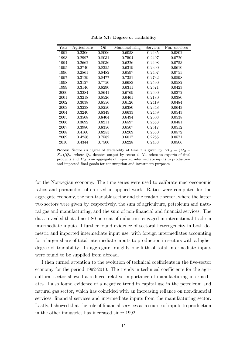| Year | Agriculture | Oil    | Manufacturing | Services | Fin. services |
|------|-------------|--------|---------------|----------|---------------|
| 1992 | 0.2306      | 0.8006 | 0.6058        | 0.2435   | 0.0802        |
| 1993 | 0.2997      | 0.8031 | 0.7504        | 0.2497   | 0.0720        |
| 1994 | 0.2662      | 0.8036 | 0.6226        | 0.2408   | 0.0753        |
| 1995 | 0.2740      | 0.8355 | 0.6319        | 0.2300   | 0.0610        |
| 1996 | 0.2861      | 0.8482 | 0.6597        | 0.2407   | 0.0755        |
| 1997 | 0.3129      | 0.8477 | 0.7351        | 0.2732   | 0.0598        |
| 1998 | 0.3127      | 0.7750 | 0.6683        | 0.2590   | 0.0582        |
| 1999 | 0.3146      | 0.8290 | 0.6311        | 0.2571   | 0.0423        |
| 2000 | 0.3284      | 0.8641 | 0.6769        | 0.2690   | 0.0372        |
| 2001 | 0.3218      | 0.8526 | 0.6461        | 0.2180   | 0.0380        |
| 2002 | 0.3038      | 0.8556 | 0.6126        | 0.2419   | 0.0484        |
| 2003 | 0.3238      | 0.8250 | 0.6380        | 0.2348   | 0.0643        |
| 2004 | 0.3240      | 0.8349 | 0.6633        | 0.2459   | 0.0543        |
| 2005 | 0.3508      | 0.8404 | 0.6494        | 0.2603   | 0.0538        |
| 2006 | 0.3692      | 0.8211 | 0.6597        | 0.2553   | 0.0481        |
| 2007 | 0.3980      | 0.8356 | 0.6507        | 0.2517   | 0.0512        |
| 2008 | 0.4160      | 0.8253 | 0.6209        | 0.2550   | 0.0572        |
| 2009 | 0.4256      | 0.7582 | 0.6017        | 0.2265   | 0.0571        |
| 2010 | 0.4344      | 0.7500 | 0.6228        | 0.2488   | 0.0506        |

Table 5.1: Degree of tradability

Notes: Sector i's degree of tradability at time t is given by  $DT_{it} = (M_{it} +$  $X_{it}/Q_{it}$ , where  $Q_{it}$  denotes output by sector i,  $X_{it}$  refers to exports of final products and  $M_{it}$  is an aggregate of imported intermediate inputs to production and imported final goods for consumption and investment purposes.

for the Norwegian economy. The time series were used to calibrate macroeconomic ratios and parameters often used in applied work. Ratios were computed for the aggregate economy, the non-tradable sector and the tradable sector, where the latter two sectors were given by, respectively, the sum of agriculture, petroleum and natural gas and manufacturing, and the sum of non-financial and financial services. The data revealed that almost 80 percent of industries engaged in international trade in intermediate inputs. I further found evidence of sectoral heterogeneity in both domestic and imported intermediate input use, with foreign intermediates accounting for a larger share of total intermediate inputs to production in sectors with a higher degree of tradability. In aggregate, roughly one-fifth of total intermediate inputs were found to be supplied from abroad.

I then turned attention to the evolution of technical coefficients in the five-sector economy for the period 1992-2010. The trends in technical coefficients for the agricultural sector showed a reduced relative importance of manufacturing intermediates. I also found evidence of a negative trend in capital use in the petroleum and natural gas sector, which has coincided with an increasing reliance on non-financial services, financial services and intermediate inputs from the manufacturing sector. Lastly, I showed that the role of financial services as a source of inputs to production in the other industries has increased since 1992.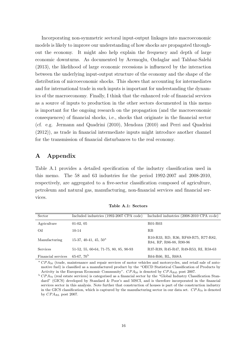Incorporating non-symmetric sectoral input-output linkages into macroeconomic models is likely to improve our understanding of how shocks are propagated throughout the economy. It might also help explain the frequency and depth of large economic downturns. As documented by Acemoglu, Ozdaglar and Tahbaz-Salehi (2013), the likelihood of large economic recessions is influenced by the interaction between the underlying input-output structure of the economy and the shape of the distribution of microeconomic shocks. This shows that accounting for intermediates and for international trade in such inputs is important for understanding the dynamics of the macroeconomy. Finally, I think that the enhanced role of financial services as a source of inputs to production in the other sectors documented in this memo is important for the ongoing research on the propagation (and the macroeconomic consequences) of financial shocks, i.e., shocks that originate in the financial sector (cf. e.g. Jermann and Quadrini (2010), Mendoza (2010) and Perri and Quadrini (2012)), as trade in financial intermediate inputs might introduce another channel for the transmission of financial disturbances to the real economy.

# A Appendix

Table A.1 provides a detailed specification of the industry classification used in this memo. The 58 and 63 industries for the period 1992-2007 and 2008-2010, respectively, are aggregated to a five-sector classification composed of agriculture, petroleum and natural gas, manufacturing, non-financial services and financial services.

| Sector             | Included industries (1992-2007 CPA code) | Included industries (2008-2010 CPA code)                        |
|--------------------|------------------------------------------|-----------------------------------------------------------------|
| Agriculture        | $01-02, 05$                              | R01-R03                                                         |
| Oil                | $10 - 14$                                | $_{\rm RB}$                                                     |
| Manufacturing      | 15-37, 40-41, 45, $50^{\circ}$           | R10-R33, RD, R36, RF69-R75, R77-R82,<br>R84, RP, R86-88, R90-96 |
| <b>Services</b>    | 51-52, 55, 60-64, 71-75, 80, 85, 90-93   | R37-R39, R45-R47, R49-R53, RI, R58-63                           |
| Financial services | 65-67, $70^{\rm b}$                      | R64-R66, RL, R68A                                               |

Table A.1: Sectors

 $^a$  CPA<sub>50</sub> (trade, maintenance and repair services of motor vehicles and motorcycles, and retail sale of automotive fuel) is classified as a manufactured product by the "OECD Statistical Classification of Products by Activity in the European Economic Community".  $CPA_{50}$  is denoted by  $CPA_{R45}$  post 2007.

 $b$  CPA<sub>70</sub> (real estate services) is categorised as a financial sector by the "Global Industry Classification Standard" (GICS) developed by Standard & Poor's and MSCI, and is therefore incorporated in the financial services sector in this analysis. Note further that construction of houses is part of the construction industry in the GICS classification, which is captured by the manufacturing sector in our data set.  $CPA_{70}$  is denoted by  $CPA_{RL}$  post 2007.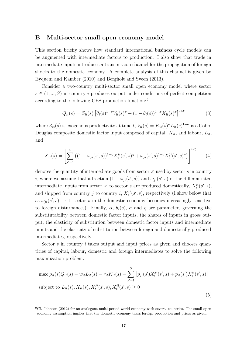#### B Multi-sector small open economy model

This section briefly shows how standard international business cycle models can be augmented with intermediate factors to production. I also show that trade in intermediate inputs introduces a transmission channel for the propagation of foreign shocks to the domestic economy. A complete analysis of this channel is given by Eyquem and Kamber (2010) and Bergholt and Sveen (2013).

Consider a two-country multi-sector small open economy model where sector  $s \in (1, ..., S)$  in country i produces output under conditions of perfect competition according to the following CES production function:<sup>9</sup>

$$
Q_{it}(s) = Z_{it}(s) \left[ \theta_i(s)^{1-\sigma} V_{it}(s)^{\sigma} + (1-\theta_i(s))^{1-\sigma} X_{it}(s)^{\sigma} \right]^{1/\sigma}
$$
(3)

where  $Z_{it}(s)$  is exogenous productivity at time t,  $V_{it}(s) = K_{it}(s) \alpha L_{it}(s)$ <sup>1- $\alpha$ </sup> is a Cobb-Douglas composite domestic factor input composed of capital,  $K_{it}$ , and labour,  $L_{it}$ , and

$$
X_{it}(s) = \left[ \sum_{s'=1}^{S} \left( (1 - \omega_{ji}(s', s))^{1 - \eta} X_t^{ii}(s', s)^{\eta} + \omega_{ji}(s', s)^{1 - \eta} X_t^{ji}(s', s)^{\eta} \right) \right]^{1/\eta}
$$
(4)

denotes the quantity of intermediate goods from sector  $s'$  used by sector s in country *i*, where we assume that a fraction  $(1 - \omega_{ji}(s', s))$  and  $\omega_{ji}(s', s)$  of the differentiated intermediate inputs from sector s' to sector s are produced domestically,  $X_t^{ii}(s', s)$ , and shipped from country j to country i,  $X_t^{ji}(s', s)$ , respectively (I show below that as  $\omega_{ji}(s', s) \rightarrow 1$ , sector s in the domestic economy becomes increasingly sensitive to foreign disturbances). Finally,  $\alpha$ ,  $\theta_i(s)$ ,  $\sigma$  and  $\eta$  are parameters governing the substitutability between domestic factor inputs, the shares of inputs in gross output, the elasticity of substitution between domestic factor inputs and intermediate inputs and the elasticity of substitution between foreign and domestically produced intermediates, respectively.

Sector s in country i takes output and input prices as given and chooses quantities of capital, labour, domestic and foreign intermediates to solve the following maximization problem:

$$
\max p_{it}(s)Q_{it}(s) - w_{it}L_{it}(s) - r_{it}K_{it}(s) - \sum_{s'=1}^{S} [p_{jt}(s')X_t^{ji}(s',s) + p_{it}(s')X_t^{ii}(s',s)]
$$
\n
$$
\text{subject to } L_{it}(s), K_{it}(s), X_t^{ji}(s',s), X_t^{ii}(s',s) \ge 0
$$
\n
$$
\tag{5}
$$

<sup>9</sup>Cf. Johnson (2012) for an analogous multi-period world economy with several countries. The small open economy assumption implies that the domestic economy takes foreign production and prices as given.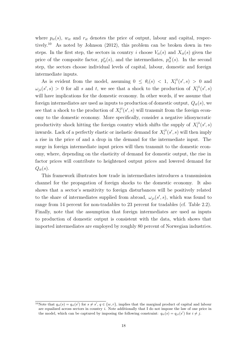where  $p_{it}(s)$ ,  $w_{it}$  and  $r_{it}$  denotes the price of output, labour and capital, respectively.<sup>10</sup> As noted by Johnson  $(2012)$ , this problem can be broken down in two steps. In the first step, the sectors in country i choose  $V_{it}(s)$  and  $X_{it}(s)$  given the price of the composite factor,  $p_{it}^v(s)$ , and the intermediates,  $p_{it}^X(s)$ . In the second step, the sectors choose individual levels of capital, labour, domestic and foreign intermediate inputs.

As is evident from the model, assuming  $0 \leq \theta_i(s) < 1$ ,  $X_t^{ji}(s', s) > 0$  and  $\omega_{ji}(s',s) > 0$  for all s and t, we see that a shock to the production of  $X_t^{ji}(s',s)$ will have implications for the domestic economy. In other words, if we assume that foreign intermediates are used as inputs to production of domestic output,  $Q_{it}(s)$ , we see that a shock to the production of  $X_t^{ji}(s', s)$  will transmit from the foreign economy to the domestic economy. More specifically, consider a negative idiosyncratic productivity shock hitting the foreign country which shifts the supply of  $X_t^{ji}(s', s)$ inwards. Lack of a perfectly elastic or inelastic demand for  $X_t^{ji}(s', s)$  will then imply a rise in the price of and a drop in the demand for the intermediate input. The surge in foreign intermediate input prices will then transmit to the domestic economy, where, depending on the elasticity of demand for domestic output, the rise in factor prices will contribute to heightened output prices and lowered demand for  $Q_{it}(s)$ .

This framework illustrates how trade in intermediates introduces a transmission channel for the propagation of foreign shocks to the domestic economy. It also shows that a sector's sensitivity to foreign disturbances will be positively related to the share of intermediates supplied from abroad,  $\omega_{ji}(s', s)$ , which was found to range from 14 percent for non-tradables to 23 percent for tradables (cf. Table 2.2). Finally, note that the assumption that foreign intermediates are used as inputs to production of domestic output is consistent with the data, which shows that imported intermediates are employed by roughly 80 percent of Norwegian industri es.

<sup>&</sup>lt;sup>10</sup>Note that  $q_{it}(s) = q_{it}(s')$  for  $s \neq s'$ ,  $q \in \{w, r\}$ , implies that the marginal product of capital and labour are equalized across sectors in country  $i$ . Note additionally that I do not impose the law of one price in the model, which can be captured by imposing the following constraint:  $q_{it}(s) = q_{jt}(s')$  for  $i \neq j$ .